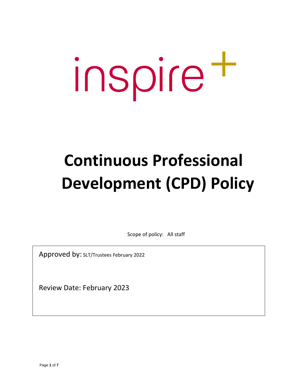# inspire t

# **Continuous Professional Development (CPD) Policy**

Scope of policy: All staff

Approved by: SLT/Trustees February <sup>2022</sup>

Review Date: February 2023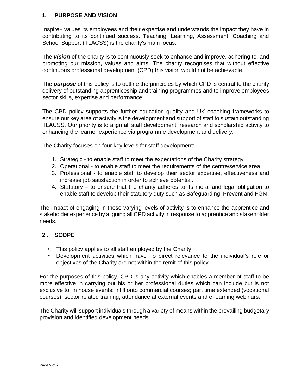### **1. PURPOSE AND VISION**

Inspire+ values its employees and their expertise and understands the impact they have in contributing to its continued success. Teaching, Learning, Assessment, Coaching and School Support (TLACSS) is the charity's main focus.

The *vision* of the charity is to continuously seek to enhance and improve, adhering to, and promoting our mission, values and aims. The charity recognises that without effective continuous professional development (CPD) this vision would not be achievable.

The *purpose* of this policy is to outline the principles by which CPD is central to the charity delivery of outstanding apprenticeship and training programmes and to improve employees sector skills, expertise and performance.

The CPD policy supports the further education quality and UK coaching frameworks to ensure our key area of activity is the development and support of staff to sustain outstanding TLACSS. Our priority is to align all staff development, research and scholarship activity to enhancing the learner experience via programme development and delivery.

The Charity focuses on four key levels for staff development:

- 1. Strategic to enable staff to meet the expectations of the Charity strategy
- 2. Operational to enable staff to meet the requirements of the centre/service area.
- 3. Professional to enable staff to develop their sector expertise, effectiveness and increase job satisfaction in order to achieve potential.
- 4. Statutory to ensure that the charity adheres to its moral and legal obligation to enable staff to develop their statutory duty such as Safeguarding, Prevent and FGM.

The impact of engaging in these varying levels of activity is to enhance the apprentice and stakeholder experience by aligning all CPD activity in response to apprentice and stakeholder needs.

# **2 . SCOPE**

- This policy applies to all staff employed by the Charity.
- Development activities which have no direct relevance to the individual's role or objectives of the Charity are not within the remit of this policy.

For the purposes of this policy, CPD is any activity which enables a member of staff to be more effective in carrying out his or her professional duties which can include but is not exclusive to; in house events; infill onto commercial courses; part time extended (vocational courses); sector related training, attendance at external events and e-learning webinars.

The Charity will support individuals through a variety of means within the prevailing budgetary provision and identified development needs.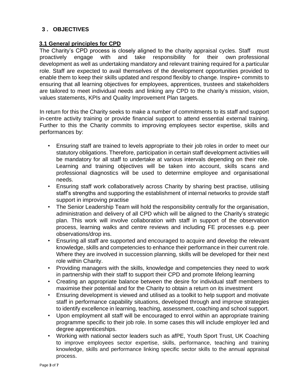# **3 . OBJECTIVES**

#### **3.1 General principles for CPD**

The Charity's CPD process is closely aligned to the charity appraisal cycles. Staff must proactively engage with and take responsibility for their own professional development as well as undertaking mandatory and relevant training required for a particular role. Staff are expected to avail themselves of the development opportunities provided to enable them to keep their skills updated and respond flexibly to change. Inspire+ commits to ensuring that all learning objectives for employees, apprentices, trustees and stakeholders are tailored to meet individual needs and linking any CPD to the charity's mission, vision, values statements, KPIs and Quality Improvement Plan targets.

In return for this the Charity seeks to make a number of commitments to its staff and support in-centre activity training or provide financial support to attend essential external training. Further to this the Charity commits to improving employees sector expertise, skills and performances by:

- Ensuring staff are trained to levels appropriate to their job roles in order to meet our statutory obligations. Therefore, participation in certain staff development activities will be mandatory for all staff to undertake at various intervals depending on their role. Learning and training objectives will be taken into account, skills scans and professional diagnostics will be used to determine employee and organisational needs.
- Ensuring staff work collaboratively across Charity by sharing best practise, utilising staff's strengths and supporting the establishment of internal networks to provide staff support in improving practise
- The Senior Leadership Team will hold the responsibility centrally for the organisation, administration and delivery of all CPD which will be aligned to the Charity's strategic plan. This work will involve collaboration with staff in support of the observation process, learning walks and centre reviews and including FE processes e.g. peer observations/drop ins.
- Ensuring all staff are supported and encouraged to acquire and develop the relevant knowledge, skills and competencies to enhance their performance in their current role. Where they are involved in succession planning, skills will be developed for their next role within Charity.
- Providing managers with the skills, knowledge and competencies they need to work in partnership with their staff to support their CPD and promote lifelong learning
- Creating an appropriate balance between the desire for individual staff members to maximise their potential and for the Charity to obtain a return on its investment
- Ensuring development is viewed and utilised as a toolkit to help support and motivate staff in performance capability situations, developed through and improve strategies to identify excellence in learning, teaching, assessment, coaching and school support.
- Upon employment all staff will be encouraged to enrol within an appropriate training programme specific to their job role. In some cases this will include employer led and degree apprenticeships.
- Working with national sector leaders such as afPE, Youth Sport Trust, UK Coaching to improve employees sector expertise, skills, performance, teaching and training knowledge, skills and performance linking specific sector skills to the annual appraisal process.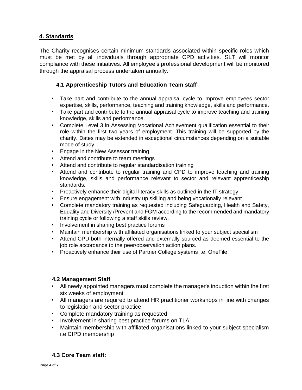# **4. Standards**

The Charity recognises certain minimum standards associated within specific roles which must be met by all individuals through appropriate CPD activities. SLT will monitor compliance with these initiatives. All employee's professional development will be monitored through the appraisal process undertaken annually.

# **4.1 Apprenticeship Tutors and Education Team staff** -

- Take part and contribute to the annual appraisal cycle to improve employees sector expertise, skills, performance, teaching and training knowledge, skills and performance.
- Take part and contribute to the annual appraisal cycle to improve teaching and training knowledge, skills and performance.
- Complete Level 3 in Assessing Vocational Achievement qualification essential to their role within the first two years of employment. This training will be supported by the charity. Dates may be extended in exceptional circumstances depending on a suitable mode of study
- Engage in the New Assessor training
- Attend and contribute to team meetings
- Attend and contribute to regular standardisation training
- Attend and contribute to regular training and CPD to improve teaching and training knowledge, skills and performance relevant to sector and relevant apprenticeship standards.
- Proactively enhance their digital literacy skills as outlined in the IT strategy
- Ensure engagement with industry up skilling and being vocationally relevant
- Complete mandatory training as requested including Safeguarding, Health and Safety, Equality and Diversity /Prevent and FGM according to the recommended and mandatory training cycle or following a staff skills review.
- Involvement in sharing best practice forums
- Maintain membership with affiliated organisations linked to your subject specialism
- Attend CPD both internally offered and externally sourced as deemed essential to the job role accordance to the peer/observation action plans.
- Proactively enhance their use of Partner College systems i.e. OneFile

#### **4.2 Management Staff**

- All newly appointed managers must complete the manager's induction within the first six weeks of employment
- All managers are required to attend HR practitioner workshops in line with changes to legislation and sector practice
- Complete mandatory training as requested
- Involvement in sharing best practice forums on TLA
- Maintain membership with affiliated organisations linked to your subject specialism i.e CIPD membership

# **4.3 Core Team staff:**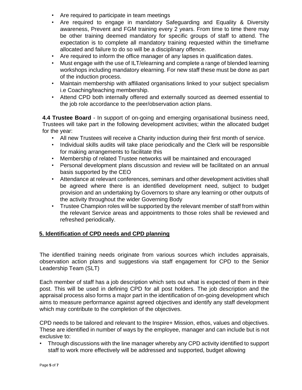- Are required to participate in team meetings
- Are required to engage in mandatory Safeguarding and Equality & Diversity awareness, Prevent and FGM training every 2 years. From time to time there may be other training deemed mandatory for specific groups of staff to attend. The expectation is to complete all mandatory training requested within the timeframe allocated and failure to do so will be a disciplinary offence.
- Are required to inform the office manager of any lapses in qualification dates.
- Must engage with the use of ILT/elearning and complete a range of blended learning workshops including mandatory elearning. For new staff these must be done as part of the induction process.
- Maintain membership with affiliated organisations linked to your subject specialism i.e Coaching/teaching membership.
- Attend CPD both internally offered and externally sourced as deemed essential to the job role accordance to the peer/observation action plans.

**4.4 Trustee Board** - In support of on-going and emerging organisational business need, Trustees will take part in the following development activities; within the allocated budget for the year:

- All new Trustees will receive a Charity induction during their first month of service.
- Individual skills audits will take place periodically and the Clerk will be responsible for making arrangements to facilitate this
- Membership of related Trustee networks will be maintained and encouraged
- Personal development plans discussion and review will be facilitated on an annual basis supported by the CEO
- Attendance at relevant conferences, seminars and other development activities shall be agreed where there is an identified development need, subject to budget provision and an undertaking by Governors to share any learning or other outputs of the activity throughout the wider Governing Body
- Trustee Champion roles will be supported by the relevant member of staff from within the relevant Service areas and appointments to those roles shall be reviewed and refreshed periodically.

# **5. Identification of CPD needs and CPD planning**

The identified training needs originate from various sources which includes appraisals, observation action plans and suggestions via staff engagement for CPD to the Senior Leadership Team (SLT)

Each member of staff has a job description which sets out what is expected of them in their post. This will be used in defining CPD for all post holders. The job description and the appraisal process also forms a major part in the identification of on-going development which aims to measure performance against agreed objectives and identify any staff development which may contribute to the completion of the objectives.

CPD needs to be tailored and relevant to the Inspire+ Mission, ethos, values and objectives. These are identified in number of ways by the employee, manager and can include but is not exclusive to:

• Through discussions with the line manager whereby any CPD activity identified to support staff to work more effectively will be addressed and supported, budget allowing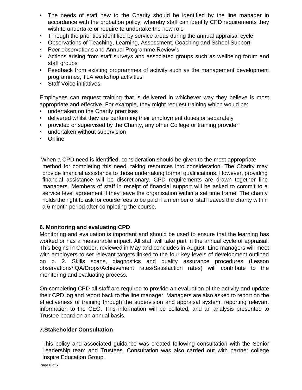- The needs of staff new to the Charity should be identified by the line manager in accordance with the probation policy, whereby staff can identify CPD requirements they wish to undertake or require to undertake the new role
- Through the priorities identified by service areas during the annual appraisal cycle
- Observations of Teaching, Learning, Assessment, Coaching and School Support
- Peer observations and Annual Programme Review's
- Actions arising from staff surveys and associated groups such as wellbeing forum and staff groups
- Feedback from existing programmes of activity such as the management development programmes, TLA workshop activities
- Staff Voice initiatives.

Employees can request training that is delivered in whichever way they believe is most appropriate and effective. For example, they might request training which would be:

- undertaken on the Charity premises
- delivered whilst they are performing their employment duties or separately
- provided or supervised by the Charity, any other College or training provider
- undertaken without supervision
- Online

When a CPD need is identified, consideration should be given to the most appropriate method for completing this need, taking resources into consideration. The Charity may provide financial assistance to those undertaking formal qualifications. However, providing financial assistance will be discretionary. CPD requirements are drawn together line managers. Members of staff in receipt of financial support will be asked to commit to a service level agreement if they leave the organisation within a set time frame. The charity holds the right to ask for course fees to be paid if a member of staff leaves the charity within a 6 month period after completing the course.

#### **6. Monitoring and evaluating CPD**

Monitoring and evaluation is important and should be used to ensure that the learning has worked or has a measurable impact. All staff will take part in the annual cycle of appraisal. This begins in October, reviewed in May and concludes in August. Line managers will meet with employers to set relevant targets linked to the four key levels of development outlined on p. 2. Skills scans, diagnostics and quality assurance procedures (Lesson observations/IQA/Drops/Achievement rates/Satisfaction rates) will contribute to the monitoring and evaluating process.

On completing CPD all staff are required to provide an evaluation of the activity and update their CPD log and report back to the line manager. Managers are also asked to report on the effectiveness of training through the supervision and appraisal system, reporting relevant information to the CEO. This information will be collated, and an analysis presented to Trustee board on an annual basis.

#### **7.Stakeholder Consultation**

This policy and associated guidance was created following consultation with the Senior Leadership team and Trustees. Consultation was also carried out with partner college Inspire Education Group.